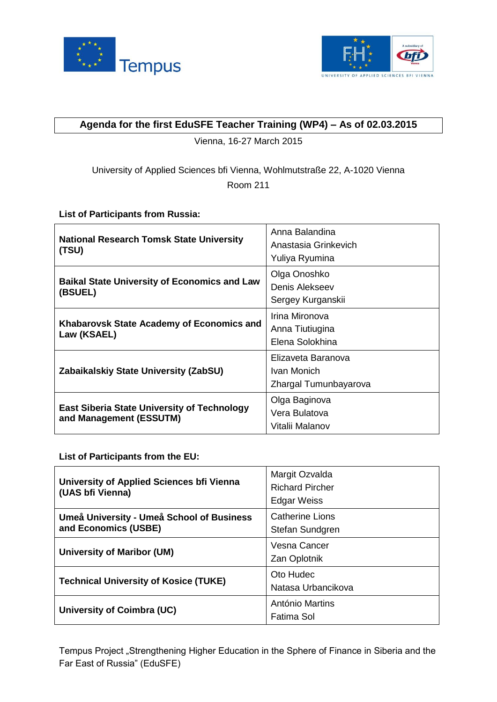



# **Agenda for the first EduSFE Teacher Training (WP4) – As of 02.03.2015**

Vienna, 16-27 March 2015

# University of Applied Sciences bfi Vienna, Wohlmutstraße 22, A-1020 Vienna Room 211

## **List of Participants from Russia:**

| <b>National Research Tomsk State University</b><br>(TSU)                      | Anna Balandina<br>Anastasia Grinkevich<br>Yuliya Ryumina   |
|-------------------------------------------------------------------------------|------------------------------------------------------------|
| <b>Baikal State University of Economics and Law</b><br>(BSUEL)                | Olga Onoshko<br>Denis Alekseev<br>Sergey Kurganskii        |
| Khabarovsk State Academy of Economics and<br>Law (KSAEL)                      | Irina Mironova<br>Anna Tiutiugina<br>Elena Solokhina       |
| Zabaikalskiy State University (ZabSU)                                         | Elizaveta Baranova<br>Ivan Monich<br>Zhargal Tumunbayarova |
| <b>East Siberia State University of Technology</b><br>and Management (ESSUTM) | Olga Baginova<br>Vera Bulatova<br>Vitalii Malanov          |

**List of Participants from the EU:** 

| University of Applied Sciences bfi Vienna<br>(UAS bfi Vienna)     | Margit Ozvalda<br><b>Richard Pircher</b><br><b>Edgar Weiss</b> |
|-------------------------------------------------------------------|----------------------------------------------------------------|
| Umeå University - Umeå School of Business<br>and Economics (USBE) | Catherine Lions<br>Stefan Sundgren                             |
| University of Maribor (UM)                                        | Vesna Cancer<br>Zan Oplotnik                                   |
| <b>Technical University of Kosice (TUKE)</b>                      | Oto Hudec<br>Natasa Urbancikova                                |
| University of Coimbra (UC)                                        | António Martins<br>Fatima Sol                                  |

Tempus Project "Strengthening Higher Education in the Sphere of Finance in Siberia and the Far East of Russia" (EduSFE)